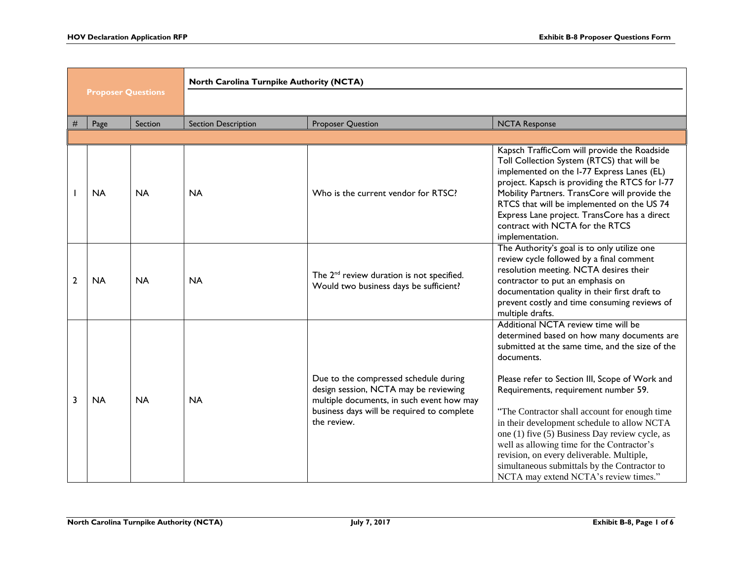|                           |                             |           | North Carolina Turnpike Authority (NCTA) |                                                                                                                                                                                          |                                                                                                                                                                                                                                                                                                                                                                                                                                                                                                                                                                                    |  |
|---------------------------|-----------------------------|-----------|------------------------------------------|------------------------------------------------------------------------------------------------------------------------------------------------------------------------------------------|------------------------------------------------------------------------------------------------------------------------------------------------------------------------------------------------------------------------------------------------------------------------------------------------------------------------------------------------------------------------------------------------------------------------------------------------------------------------------------------------------------------------------------------------------------------------------------|--|
| <b>Proposer Questions</b> |                             |           |                                          |                                                                                                                                                                                          |                                                                                                                                                                                                                                                                                                                                                                                                                                                                                                                                                                                    |  |
|                           | #<br>Page                   | Section   | <b>Section Description</b>               | <b>Proposer Question</b>                                                                                                                                                                 | <b>NCTA Response</b>                                                                                                                                                                                                                                                                                                                                                                                                                                                                                                                                                               |  |
|                           |                             |           |                                          |                                                                                                                                                                                          |                                                                                                                                                                                                                                                                                                                                                                                                                                                                                                                                                                                    |  |
|                           | <b>NA</b>                   | <b>NA</b> | <b>NA</b>                                | Who is the current vendor for RTSC?                                                                                                                                                      | Kapsch TrafficCom will provide the Roadside<br>Toll Collection System (RTCS) that will be<br>implemented on the I-77 Express Lanes (EL)<br>project. Kapsch is providing the RTCS for I-77<br>Mobility Partners. TransCore will provide the<br>RTCS that will be implemented on the US 74<br>Express Lane project. TransCore has a direct<br>contract with NCTA for the RTCS<br>implementation.                                                                                                                                                                                     |  |
|                           | $\overline{2}$<br><b>NA</b> | <b>NA</b> | <b>NA</b>                                | The 2 <sup>nd</sup> review duration is not specified.<br>Would two business days be sufficient?                                                                                          | The Authority's goal is to only utilize one<br>review cycle followed by a final comment<br>resolution meeting. NCTA desires their<br>contractor to put an emphasis on<br>documentation quality in their first draft to<br>prevent costly and time consuming reviews of<br>multiple drafts.                                                                                                                                                                                                                                                                                         |  |
|                           | 3<br><b>NA</b>              | <b>NA</b> | <b>NA</b>                                | Due to the compressed schedule during<br>design session, NCTA may be reviewing<br>multiple documents, in such event how may<br>business days will be required to complete<br>the review. | Additional NCTA review time will be<br>determined based on how many documents are<br>submitted at the same time, and the size of the<br>documents.<br>Please refer to Section III, Scope of Work and<br>Requirements, requirement number 59.<br>"The Contractor shall account for enough time<br>in their development schedule to allow NCTA<br>one (1) five (5) Business Day review cycle, as<br>well as allowing time for the Contractor's<br>revision, on every deliverable. Multiple,<br>simultaneous submittals by the Contractor to<br>NCTA may extend NCTA's review times." |  |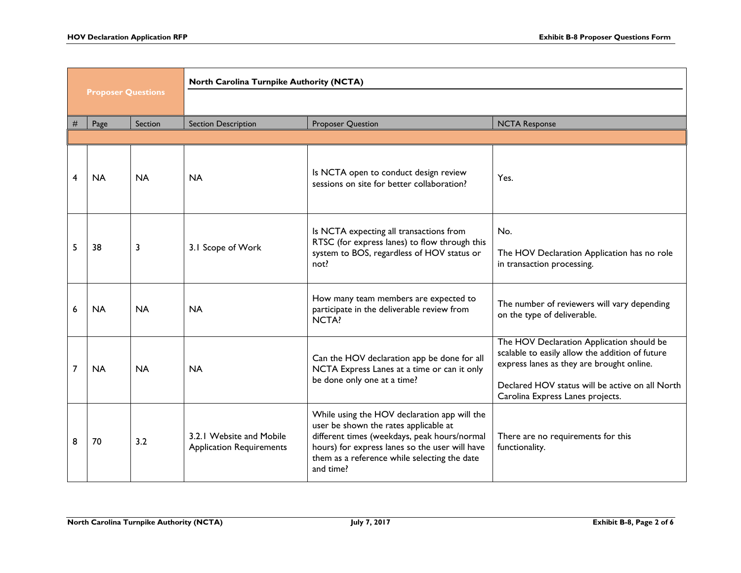| <b>Proposer Questions</b> |           |           | North Carolina Turnpike Authority (NCTA)                    |                                                                                                                                                                                                                                                      |                                                                                                                                                                                                                                  |  |
|---------------------------|-----------|-----------|-------------------------------------------------------------|------------------------------------------------------------------------------------------------------------------------------------------------------------------------------------------------------------------------------------------------------|----------------------------------------------------------------------------------------------------------------------------------------------------------------------------------------------------------------------------------|--|
|                           |           |           |                                                             |                                                                                                                                                                                                                                                      |                                                                                                                                                                                                                                  |  |
| #                         | Page      | Section   | <b>Section Description</b>                                  | <b>Proposer Question</b>                                                                                                                                                                                                                             | <b>NCTA Response</b>                                                                                                                                                                                                             |  |
|                           |           |           |                                                             |                                                                                                                                                                                                                                                      |                                                                                                                                                                                                                                  |  |
| 4                         | <b>NA</b> | <b>NA</b> | <b>NA</b>                                                   | Is NCTA open to conduct design review<br>sessions on site for better collaboration?                                                                                                                                                                  | Yes.                                                                                                                                                                                                                             |  |
| 5                         | 38        | 3         | 3.1 Scope of Work                                           | Is NCTA expecting all transactions from<br>RTSC (for express lanes) to flow through this<br>system to BOS, regardless of HOV status or<br>not?                                                                                                       | No.<br>The HOV Declaration Application has no role<br>in transaction processing.                                                                                                                                                 |  |
| 6                         | <b>NA</b> | <b>NA</b> | <b>NA</b>                                                   | How many team members are expected to<br>participate in the deliverable review from<br>NCTA?                                                                                                                                                         | The number of reviewers will vary depending<br>on the type of deliverable.                                                                                                                                                       |  |
| 7                         | <b>NA</b> | <b>NA</b> | <b>NA</b>                                                   | Can the HOV declaration app be done for all<br>NCTA Express Lanes at a time or can it only<br>be done only one at a time?                                                                                                                            | The HOV Declaration Application should be<br>scalable to easily allow the addition of future<br>express lanes as they are brought online.<br>Declared HOV status will be active on all North<br>Carolina Express Lanes projects. |  |
| 8                         | 70        | 3.2       | 3.2.1 Website and Mobile<br><b>Application Requirements</b> | While using the HOV declaration app will the<br>user be shown the rates applicable at<br>different times (weekdays, peak hours/normal<br>hours) for express lanes so the user will have<br>them as a reference while selecting the date<br>and time? | There are no requirements for this<br>functionality.                                                                                                                                                                             |  |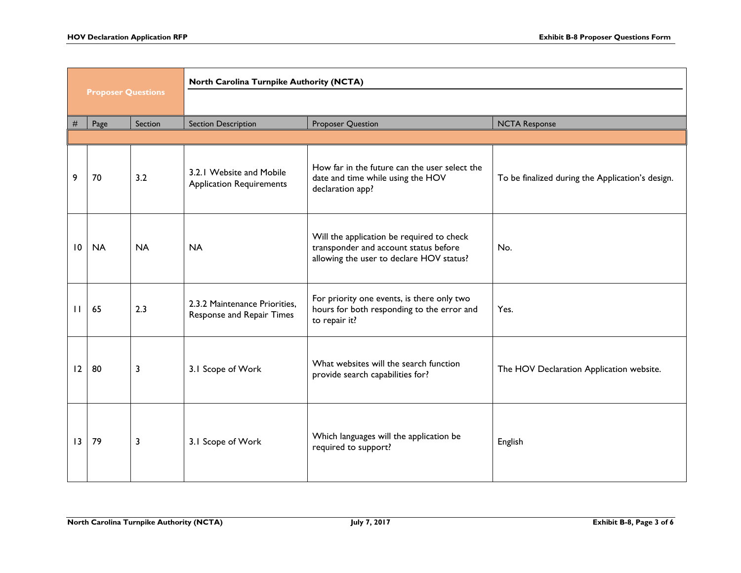|                           |           |           | North Carolina Turnpike Authority (NCTA)                    |                                                                                                                                |                                                  |
|---------------------------|-----------|-----------|-------------------------------------------------------------|--------------------------------------------------------------------------------------------------------------------------------|--------------------------------------------------|
| <b>Proposer Questions</b> |           |           |                                                             |                                                                                                                                |                                                  |
| $\#$                      | Page      | Section   | <b>Section Description</b>                                  | <b>Proposer Question</b>                                                                                                       | <b>NCTA Response</b>                             |
|                           |           |           |                                                             |                                                                                                                                |                                                  |
| 9                         | 70        | 3.2       | 3.2.1 Website and Mobile<br><b>Application Requirements</b> | How far in the future can the user select the<br>date and time while using the HOV<br>declaration app?                         | To be finalized during the Application's design. |
| 10                        | <b>NA</b> | <b>NA</b> | <b>NA</b>                                                   | Will the application be required to check<br>transponder and account status before<br>allowing the user to declare HOV status? | No.                                              |
| $\mathbf{H}$              | 65        | 2.3       | 2.3.2 Maintenance Priorities,<br>Response and Repair Times  | For priority one events, is there only two<br>hours for both responding to the error and<br>to repair it?                      | Yes.                                             |
| 12                        | 80        | 3         | 3.1 Scope of Work                                           | What websites will the search function<br>provide search capabilities for?                                                     | The HOV Declaration Application website.         |
| 13                        | 79        | 3         | 3.1 Scope of Work                                           | Which languages will the application be<br>required to support?                                                                | English                                          |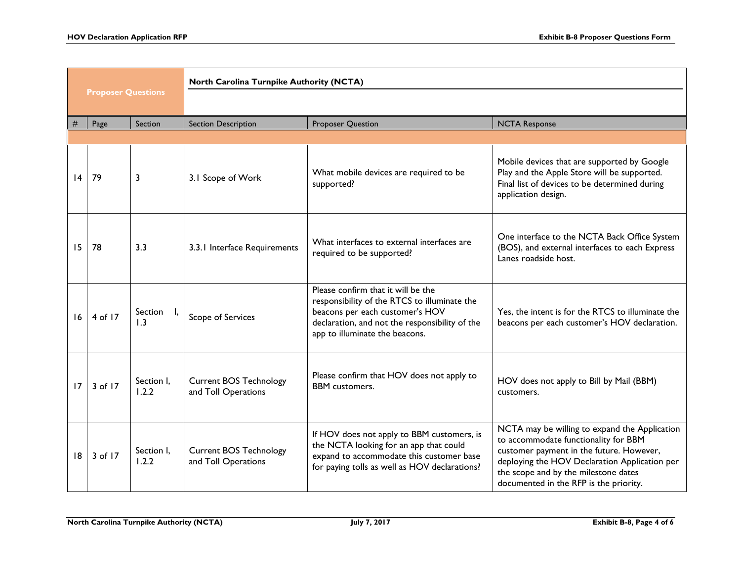| <b>Proposer Questions</b> |         |                     | North Carolina Turnpike Authority (NCTA)             |                                                                                                                                                                                                           |                                                                                                                                                                                                                                                                      |
|---------------------------|---------|---------------------|------------------------------------------------------|-----------------------------------------------------------------------------------------------------------------------------------------------------------------------------------------------------------|----------------------------------------------------------------------------------------------------------------------------------------------------------------------------------------------------------------------------------------------------------------------|
|                           |         |                     |                                                      |                                                                                                                                                                                                           |                                                                                                                                                                                                                                                                      |
| #                         | Page    | Section             | <b>Section Description</b>                           | Proposer Question                                                                                                                                                                                         | <b>NCTA Response</b>                                                                                                                                                                                                                                                 |
| 4                         | 79      | 3                   | 3.1 Scope of Work                                    | What mobile devices are required to be<br>supported?                                                                                                                                                      | Mobile devices that are supported by Google<br>Play and the Apple Store will be supported.<br>Final list of devices to be determined during<br>application design.                                                                                                   |
| 15                        | 78      | 3.3                 | 3.3.1 Interface Requirements                         | What interfaces to external interfaces are<br>required to be supported?                                                                                                                                   | One interface to the NCTA Back Office System<br>(BOS), and external interfaces to each Express<br>Lanes roadside host.                                                                                                                                               |
| 16                        | 4 of 17 | Section<br>1.3      | Scope of Services                                    | Please confirm that it will be the<br>responsibility of the RTCS to illuminate the<br>beacons per each customer's HOV<br>declaration, and not the responsibility of the<br>app to illuminate the beacons. | Yes, the intent is for the RTCS to illuminate the<br>beacons per each customer's HOV declaration.                                                                                                                                                                    |
| 17                        | 3 of 17 | Section I.<br>1.2.2 | <b>Current BOS Technology</b><br>and Toll Operations | Please confirm that HOV does not apply to<br><b>BBM</b> customers.                                                                                                                                        | HOV does not apply to Bill by Mail (BBM)<br>customers.                                                                                                                                                                                                               |
| 8                         | 3 of 17 | Section I,<br>1.2.2 | <b>Current BOS Technology</b><br>and Toll Operations | If HOV does not apply to BBM customers, is<br>the NCTA looking for an app that could<br>expand to accommodate this customer base<br>for paying tolls as well as HOV declarations?                         | NCTA may be willing to expand the Application<br>to accommodate functionality for BBM<br>customer payment in the future. However,<br>deploying the HOV Declaration Application per<br>the scope and by the milestone dates<br>documented in the RFP is the priority. |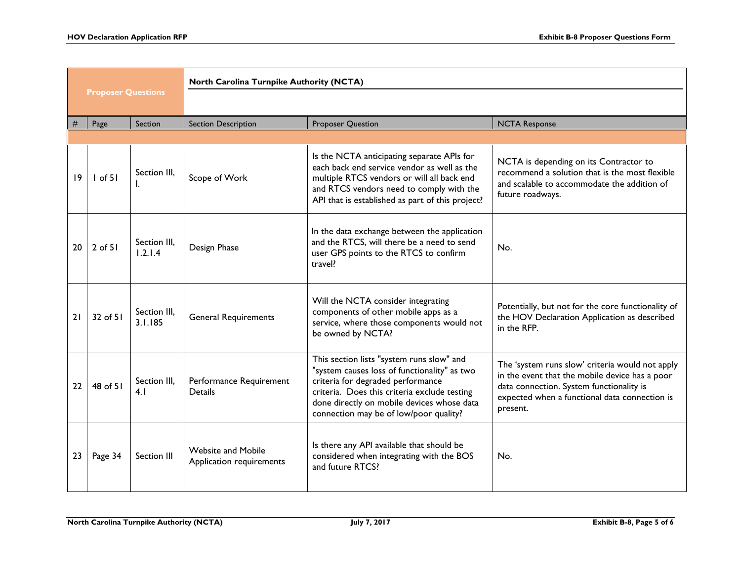| <b>Proposer Questions</b> |             |                         | North Carolina Turnpike Authority (NCTA)              |                                                                                                                                                                                                                                                                        |                                                                                                                                                                                                            |
|---------------------------|-------------|-------------------------|-------------------------------------------------------|------------------------------------------------------------------------------------------------------------------------------------------------------------------------------------------------------------------------------------------------------------------------|------------------------------------------------------------------------------------------------------------------------------------------------------------------------------------------------------------|
|                           |             |                         |                                                       |                                                                                                                                                                                                                                                                        |                                                                                                                                                                                                            |
|                           | Page        | <b>Section</b>          | <b>Section Description</b>                            | <b>Proposer Question</b>                                                                                                                                                                                                                                               | <b>NCTA Response</b>                                                                                                                                                                                       |
|                           |             |                         |                                                       |                                                                                                                                                                                                                                                                        |                                                                                                                                                                                                            |
| 19                        | $I$ of 51   | Section III.<br>I.      | Scope of Work                                         | Is the NCTA anticipating separate APIs for<br>each back end service vendor as well as the<br>multiple RTCS vendors or will all back end<br>and RTCS vendors need to comply with the<br>API that is established as part of this project?                                | NCTA is depending on its Contractor to<br>recommend a solution that is the most flexible<br>and scalable to accommodate the addition of<br>future roadways.                                                |
| 20                        | $2$ of $51$ | Section III,<br>1.2.1.4 | Design Phase                                          | In the data exchange between the application<br>and the RTCS, will there be a need to send<br>user GPS points to the RTCS to confirm<br>travel?                                                                                                                        | No.                                                                                                                                                                                                        |
| 21                        | 32 of 51    | Section III,<br>3.1.185 | <b>General Requirements</b>                           | Will the NCTA consider integrating<br>components of other mobile apps as a<br>service, where those components would not<br>be owned by NCTA?                                                                                                                           | Potentially, but not for the core functionality of<br>the HOV Declaration Application as described<br>in the RFP.                                                                                          |
| 22                        | 48 of 51    | Section III,<br>4.1     | Performance Requirement<br><b>Details</b>             | This section lists "system runs slow" and<br>"system causes loss of functionality" as two<br>criteria for degraded performance<br>criteria. Does this criteria exclude testing<br>done directly on mobile devices whose data<br>connection may be of low/poor quality? | The 'system runs slow' criteria would not apply<br>in the event that the mobile device has a poor<br>data connection. System functionality is<br>expected when a functional data connection is<br>present. |
| 23                        | Page 34     | Section III             | <b>Website and Mobile</b><br>Application requirements | Is there any API available that should be<br>considered when integrating with the BOS<br>and future RTCS?                                                                                                                                                              | No.                                                                                                                                                                                                        |